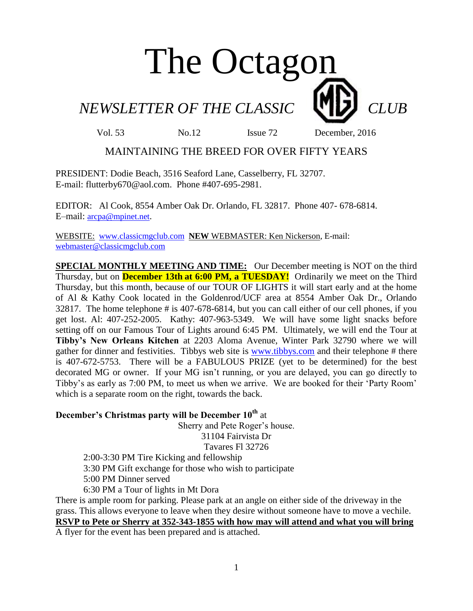# The Octagon

*NEWSLETTER OF THE CLASSIC CLUB* 

Vol. 53 No.12 Issue 72 December, 2016

#### MAINTAINING THE BREED FOR OVER FIFTY YEARS

PRESIDENT: Dodie Beach, 3516 Seaford Lane, Casselberry, FL 32707. E-mail: flutterby670@aol.com. Phone #407-695-2981.

EDITOR: Al Cook, 8554 Amber Oak Dr. Orlando, FL 32817. Phone 407- 678-6814. E–mail: [arcpa@mpinet.net](mailto:arcpa@mpinet.net).

WEBSITE: [www.classicmgclub.com](http://www.classicmgclub.com/) **NEW** WEBMASTER: Ken Nickerson, E-mail: [webmaster@classicmgclub.com](mailto:webmaster@classicmgclub.com)

**SPECIAL MONTHLY MEETING AND TIME:** Our December meeting is NOT on the third Thursday, but on **December 13th at 6:00 PM, a TUESDAY!** Ordinarily we meet on the Third Thursday, but this month, because of our TOUR OF LIGHTS it will start early and at the home of Al & Kathy Cook located in the Goldenrod/UCF area at 8554 Amber Oak Dr., Orlando 32817. The home telephone # is 407-678-6814, but you can call either of our cell phones, if you get lost. Al: 407-252-2005. Kathy: 407-963-5349. We will have some light snacks before setting off on our Famous Tour of Lights around 6:45 PM. Ultimately, we will end the Tour at **Tibby's New Orleans Kitchen** at 2203 Aloma Avenue, Winter Park 32790 where we will gather for dinner and festivities. Tibbys web site is [www.tibbys.com](http://www.tibbys.com/) and their telephone # there is 407-672-5753. There will be a FABULOUS PRIZE (yet to be determined) for the best decorated MG or owner. If your MG isn't running, or you are delayed, you can go directly to Tibby's as early as 7:00 PM, to meet us when we arrive. We are booked for their 'Party Room' which is a separate room on the right, towards the back.

#### **December's Christmas party will be December 10th** at

Sherry and Pete Roger's house.

31104 Fairvista Dr

Tavares Fl 32726

2:00-3:30 PM Tire Kicking and fellowship

3:30 PM Gift exchange for those who wish to participate

5:00 PM Dinner served

6:30 PM a Tour of lights in Mt Dora

There is ample room for parking. Please park at an angle on either side of the driveway in the grass. This allows everyone to leave when they desire without someone have to move a vechile. **RSVP to Pete or Sherry at 352-343-1855 with how may will attend and what you will bring**

A flyer for the event has been prepared and is attached.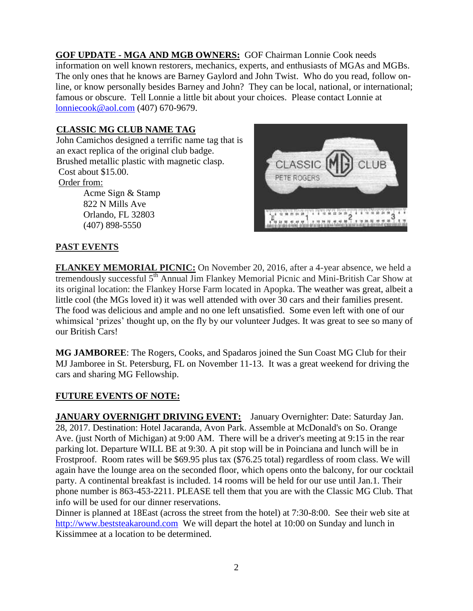**GOF UPDATE - MGA AND MGB OWNERS:** GOF Chairman Lonnie Cook needs information on well known restorers, mechanics, experts, and enthusiasts of MGAs and MGBs. The only ones that he knows are Barney Gaylord and John Twist. Who do you read, follow online, or know personally besides Barney and John? They can be local, national, or international; famous or obscure. Tell Lonnie a little bit about your choices. Please contact Lonnie at [lonniecook@aol.com](mailto:lonniecook@aol.com) (407) 670-9679.

#### **CLASSIC MG CLUB NAME TAG**

John Camichos designed a terrific name tag that is an exact replica of the original club badge. Brushed metallic plastic with magnetic clasp. Cost about \$15.00. Order from:

Acme Sign & Stamp 822 N Mills Ave Orlando, FL 32803 [\(407\) 898-5550](javascript:void(0))



#### **PAST EVENTS**

**FLANKEY MEMORIAL PICNIC:** On November 20, 2016, after a 4-year absence, we held a tremendously successful 5<sup>th</sup> Annual Jim Flankey Memorial Picnic and Mini-British Car Show at its original location: the Flankey Horse Farm located in Apopka. The weather was great, albeit a little cool (the MGs loved it) it was well attended with over 30 cars and their families present. The food was delicious and ample and no one left unsatisfied. Some even left with one of our whimsical 'prizes' thought up, on the fly by our volunteer Judges. It was great to see so many of our British Cars!

**MG JAMBOREE**: The Rogers, Cooks, and Spadaros joined the Sun Coast MG Club for their MJ Jamboree in St. Petersburg, FL on November 11-13. It was a great weekend for driving the cars and sharing MG Fellowship.

#### **FUTURE EVENTS OF NOTE:**

**JANUARY OVERNIGHT DRIVING EVENT:** January Overnighter: Date: Saturday Jan. 28, 2017. Destination: Hotel Jacaranda, Avon Park. Assemble at McDonald's on So. Orange Ave. (just North of Michigan) at 9:00 AM. There will be a driver's meeting at 9:15 in the rear parking lot. Departure WILL BE at 9:30. A pit stop will be in Poinciana and lunch will be in Frostproof. Room rates will be \$69.95 plus tax (\$76.25 total) regardless of room class. We will again have the lounge area on the seconded floor, which opens onto the balcony, for our cocktail party. A continental breakfast is included. 14 rooms will be held for our use until Jan.1. Their phone number is 863-453-2211. PLEASE tell them that you are with the Classic MG Club. That info will be used for our dinner reservations.

Dinner is planned at 18East (across the street from the hotel) at 7:30-8:00. See their web site at [http://www.beststeakaround.com](http://www.beststeakaround.com/) We will depart the hotel at 10:00 on Sunday and lunch in Kissimmee at a location to be determined.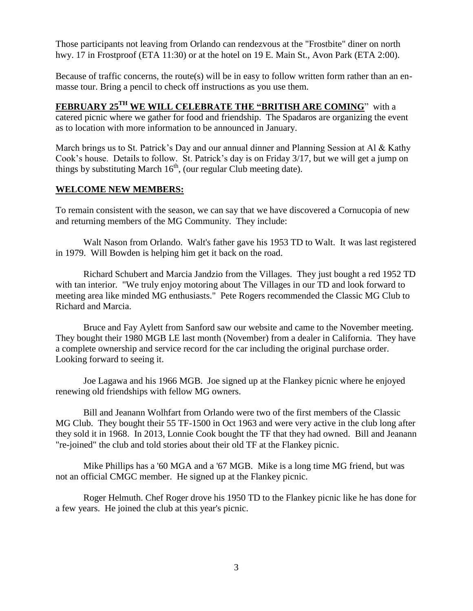Those participants not leaving from Orlando can rendezvous at the "Frostbite" diner on north hwy. 17 in Frostproof (ETA 11:30) or at the hotel on 19 E. Main St., Avon Park (ETA 2:00).

Because of traffic concerns, the route(s) will be in easy to follow written form rather than an enmasse tour. Bring a pencil to check off instructions as you use them.

**FEBRUARY 25TH WE WILL CELEBRATE THE "BRITISH ARE COMING**" with a catered picnic where we gather for food and friendship. The Spadaros are organizing the event as to location with more information to be announced in January.

March brings us to St. Patrick's Day and our annual dinner and Planning Session at Al & Kathy Cook's house. Details to follow. St. Patrick's day is on Friday 3/17, but we will get a jump on things by substituting March  $16<sup>th</sup>$ , (our regular Club meeting date).

#### **WELCOME NEW MEMBERS:**

To remain consistent with the season, we can say that we have discovered a Cornucopia of new and returning members of the MG Community. They include:

Walt Nason from Orlando. Walt's father gave his 1953 TD to Walt. It was last registered in 1979. Will Bowden is helping him get it back on the road.

Richard Schubert and Marcia Jandzio from the Villages. They just bought a red 1952 TD with tan interior. "We truly enjoy motoring about The Villages in our TD and look forward to meeting area like minded MG enthusiasts." Pete Rogers recommended the Classic MG Club to Richard and Marcia.

Bruce and Fay Aylett from Sanford saw our website and came to the November meeting. They bought their 1980 MGB LE last month (November) from a dealer in California. They have a complete ownership and service record for the car including the original purchase order. Looking forward to seeing it.

Joe Lagawa and his 1966 MGB. Joe signed up at the Flankey picnic where he enjoyed renewing old friendships with fellow MG owners.

Bill and Jeanann Wolhfart from Orlando were two of the first members of the Classic MG Club. They bought their 55 TF-1500 in Oct 1963 and were very active in the club long after they sold it in 1968. In 2013, Lonnie Cook bought the TF that they had owned. Bill and Jeanann "re-joined" the club and told stories about their old TF at the Flankey picnic.

Mike Phillips has a '60 MGA and a '67 MGB. Mike is a long time MG friend, but was not an official CMGC member. He signed up at the Flankey picnic.

Roger Helmuth. Chef Roger drove his 1950 TD to the Flankey picnic like he has done for a few years. He joined the club at this year's picnic.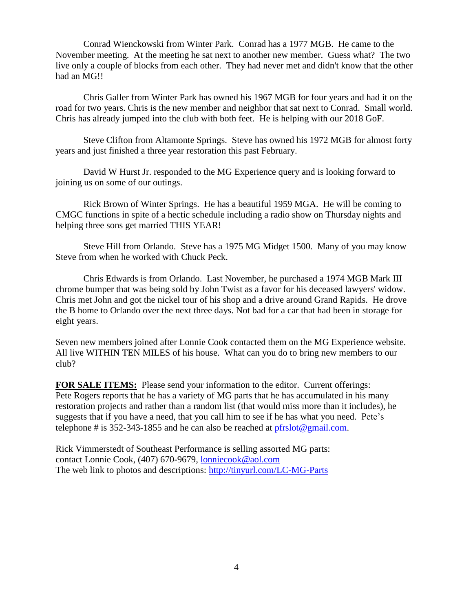Conrad Wienckowski from Winter Park. Conrad has a 1977 MGB. He came to the November meeting. At the meeting he sat next to another new member. Guess what? The two live only a couple of blocks from each other. They had never met and didn't know that the other had an MG!!

Chris Galler from Winter Park has owned his 1967 MGB for four years and had it on the road for two years. Chris is the new member and neighbor that sat next to Conrad. Small world. Chris has already jumped into the club with both feet. He is helping with our 2018 GoF.

Steve Clifton from Altamonte Springs. Steve has owned his 1972 MGB for almost forty years and just finished a three year restoration this past February.

David W Hurst Jr. responded to the MG Experience query and is looking forward to joining us on some of our outings.

Rick Brown of Winter Springs. He has a beautiful 1959 MGA. He will be coming to CMGC functions in spite of a hectic schedule including a radio show on Thursday nights and helping three sons get married THIS YEAR!

Steve Hill from Orlando. Steve has a 1975 MG Midget 1500. Many of you may know Steve from when he worked with Chuck Peck.

Chris Edwards is from Orlando. Last November, he purchased a 1974 MGB Mark III chrome bumper that was being sold by John Twist as a favor for his deceased lawyers' widow. Chris met John and got the nickel tour of his shop and a drive around Grand Rapids. He drove the B home to Orlando over the next three days. Not bad for a car that had been in storage for eight years.

Seven new members joined after Lonnie Cook contacted them on the MG Experience website. All live WITHIN TEN MILES of his house. What can you do to bring new members to our club?

**FOR SALE ITEMS:** Please send your information to the editor. Current offerings: Pete Rogers reports that he has a variety of MG parts that he has accumulated in his many restoration projects and rather than a random list (that would miss more than it includes), he suggests that if you have a need, that you call him to see if he has what you need. Pete's telephone # is  $352-343-1855$  and he can also be reached at [pfrslot@gmail.com.](mailto:pfrslot@gmail.com)

Rick Vimmerstedt of Southeast Performance is selling assorted MG parts: contact Lonnie Cook, (407) 670-9679, [lonniecook@aol.com](mailto:lonniecook@aol.com) The web link to photos and descriptions: <http://tinyurl.com/LC-MG-Parts>